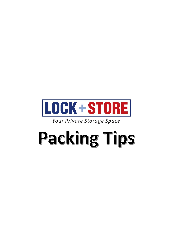

Your Private Storage Space

# Packing Tips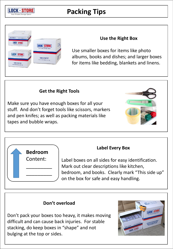

## **Packing Tips**



### **Use the Right Box**

Use smaller boxes for items like photo albums, books and dishes; and larger boxes for items like bedding, blankets and linens.

#### **Get the Right Tools**

Make sure you have enough boxes for all your stuff. And don't forget tools like scissors, markers and pen knifes; as well as packing materials like tapes and bubble wraps.





### **Label Every Box**

Label boxes on all sides for easy identification. Mark out clear descriptions like kitchen, bedroom, and books. Clearly mark "This side up" on the box for safe and easy handling.

### **Don't overload**

Don't pack your boxes too heavy, it makes moving difficult and can cause back injuries. For stable stacking, do keep boxes in "shape" and not bulging at the top or sides.

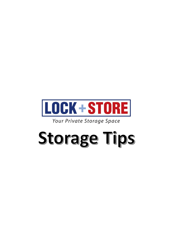

Your Private Storage Space

# **Storage Tips**